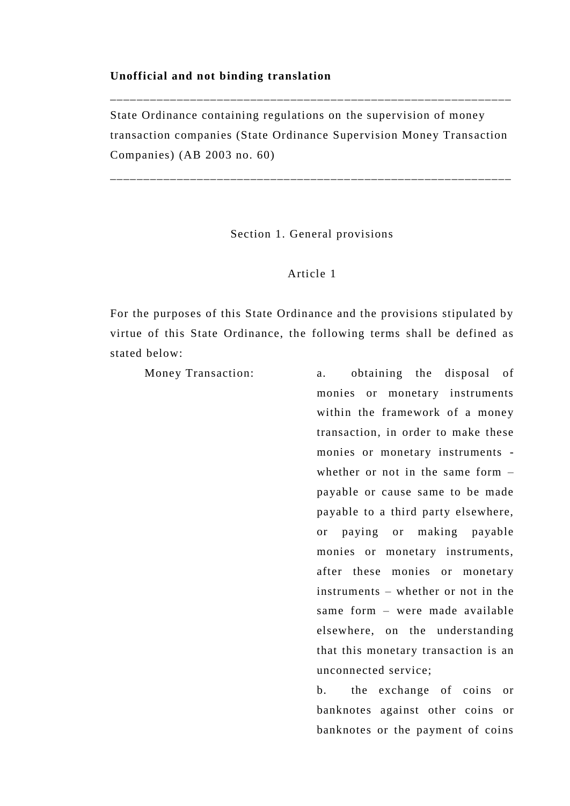#### **Unofficial and not binding translation**

State Ordinance containing regulations on the supervision of money transaction companies (State Ordinance Supervision Money Trans action Companies) (AB 2003 no. 60)

\_\_\_\_\_\_\_\_\_\_\_\_\_\_\_\_\_\_\_\_\_\_\_\_\_\_\_\_\_\_\_\_\_\_\_\_\_\_\_\_\_\_\_\_\_\_\_\_\_\_\_\_\_\_\_\_\_\_\_\_

\_\_\_\_\_\_\_\_\_\_\_\_\_\_\_\_\_\_\_\_\_\_\_\_\_\_\_\_\_\_\_\_\_\_\_\_\_\_\_\_\_\_\_\_\_\_\_\_\_\_\_\_\_\_\_\_\_\_\_\_

Section 1. General provisions

# Article 1

For the purposes of this State Ordinance and the provisions stipulated by virtue of this State Ordinance, the following terms shall be defined as stated below:

Money Transaction: a. obtaining the disposal of

monies or monetary instruments within the framework of a money transaction, in order to make these monies or monetary instruments whether or not in the same form – payable or cause same to be made payable to a third party elsewhere, or paying or making payable monies or monetary instruments, after these monies or monetary instruments – whether or not in the same form – were made available elsewhere, on the understanding that this monetary transaction is an unconnected service;

b. the exchange of coins or banknotes against other coins or banknotes or the payment of coins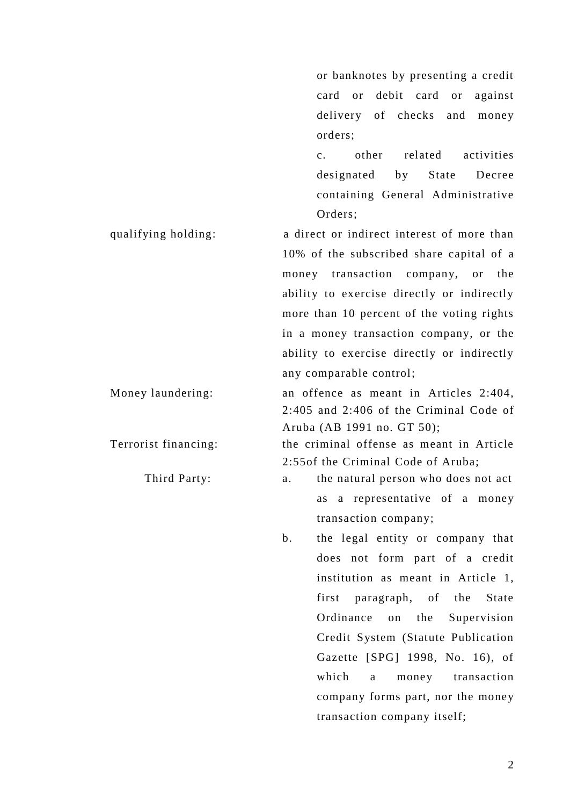or banknotes by presenting a credit card or debit card or against delivery of checks and money orders; c. other related activities designated by State Decree containing General Administrative Orders; qualifying holding: a direct or indirect interest of more than 10% of the subscribed share capital of a money transaction company, or the ability to exercise directly or indirectly more than 10 percent of the voting rights in a money transaction company, or the

any comparable control;

Money laundering: an offence as meant in Articles 2:404, 2:405 and 2:406 of the Criminal Code of Aruba (AB 1991 no. GT 50);

ability to exercise directly or indirectly

Terrorist financing: the criminal offense as meant in Article 2:55of the Criminal Code of Aruba;

- Third Party: a. the natural person who does not act as a representative of a money transaction company;
	- b. the legal entity or company that does not form part of a credit institution as meant in Article 1, first paragraph, of the State Ordinance on the Supervision Credit System (Statute Publication Gazette [SPG] 1998, No. 16), of which a money transaction company forms part, nor the money transaction company itself;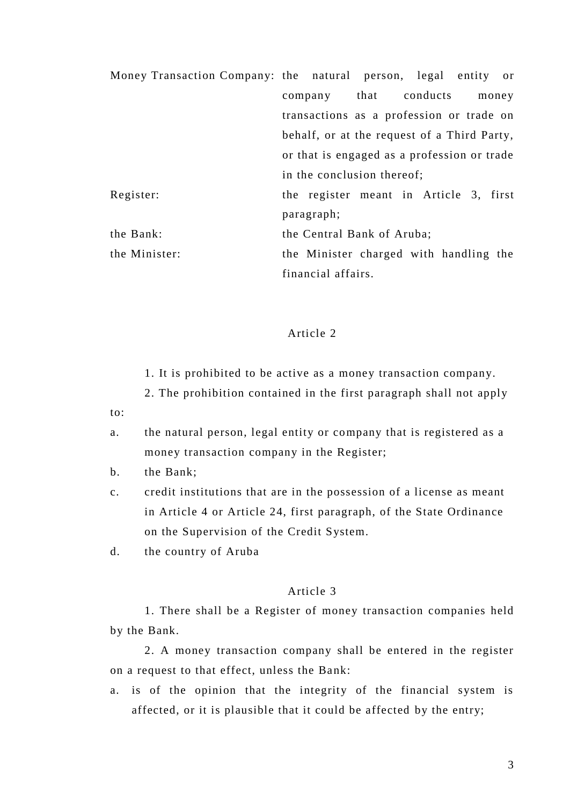| Money Transaction Company: the natural person, legal entity or |                                                                                            |                                          |  |  |  |  |       |
|----------------------------------------------------------------|--------------------------------------------------------------------------------------------|------------------------------------------|--|--|--|--|-------|
|                                                                | company that conducts                                                                      |                                          |  |  |  |  | money |
|                                                                |                                                                                            | transactions as a profession or trade on |  |  |  |  |       |
|                                                                | behalf, or at the request of a Third Party,<br>or that is engaged as a profession or trade |                                          |  |  |  |  |       |
|                                                                |                                                                                            |                                          |  |  |  |  |       |
|                                                                |                                                                                            | in the conclusion thereof;               |  |  |  |  |       |
| Register:                                                      |                                                                                            | the register meant in Article 3, first   |  |  |  |  |       |
|                                                                | paragraph;                                                                                 |                                          |  |  |  |  |       |
| the Bank:                                                      | the Central Bank of Aruba;                                                                 |                                          |  |  |  |  |       |
| the Minister:                                                  |                                                                                            | the Minister charged with handling the   |  |  |  |  |       |
|                                                                |                                                                                            | financial affairs.                       |  |  |  |  |       |

# Article 2

- 1. It is prohibited to be active as a money transaction company.
- 2. The prohibition contained in the first paragraph shall not apply
- to:
- a. the natural person, legal entity or company that is registered as a money transaction company in the Register;
- b. the Bank;
- c. credit institutions that are in the possession of a license as meant in Article 4 or Article 24, first paragraph, of the State Ordinance on the Supervision of the Credit System.
- d. the country of Aruba

#### Article 3

1. There shall be a Register of money transaction companies held by the Bank.

2. A money transaction company shall be entered in the register on a request to that effect, unless the Bank:

a. is of the opinion that the integrity of the financial system is affected, or it is plausible that it could be affected by the entry;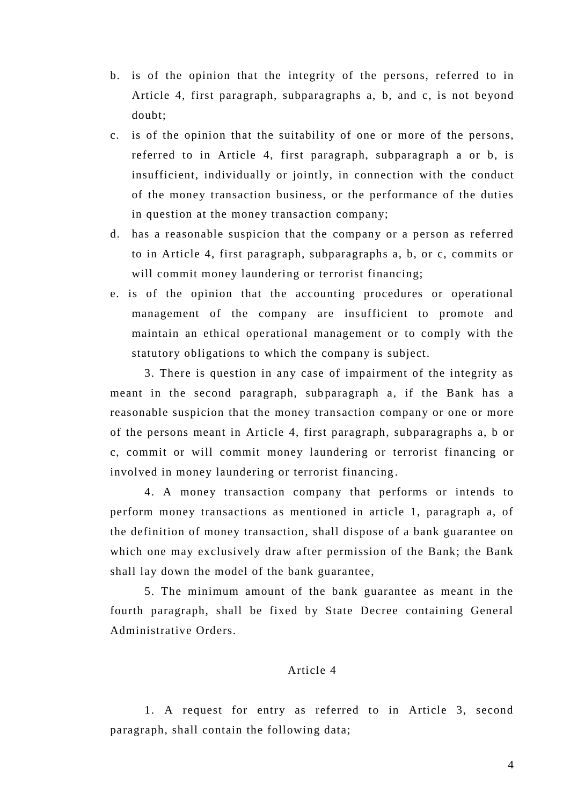- b. is of the opinion that the integrity of the persons, referred to in Article 4, first paragraph, subparagraphs a, b, and c, is not beyond doubt;
- c. is of the opinion that the suitability of one or more of the persons, referred to in Article 4, first paragraph, subparagraph a or b, is insufficient, individually or jointly, in connection with the conduct of the money transaction business, or the performance of the duties in question at the money transaction company;
- d. has a reasonable suspicion that the company or a person as referred to in Article 4, first paragraph, subparagraphs a, b, or c, commits or will commit money laundering or terrorist financing;
- e. is of the opinion that the accounting procedures or operational management of the company are insufficient to promote and maintain an ethical operational management or to comply with the statutory obligations to which the company is subject.

3. There is question in any case of impairment of the integrity as meant in the second paragraph, subparagraph a, if the Bank has a reasonable suspicion that the money transaction company or one or more of the persons meant in Article 4, first paragraph, subparagraphs a, b or c, commit or will commit money laundering or terrorist financing or involved in money laundering or terrorist financing .

4. A money transaction company that performs or intends to perform money transactions as mentioned in article 1, paragraph a, of the definition of money transaction, shall dispose of a bank guarantee on which one may exclusively draw after permission of the Bank; the Bank shall lay down the model of the bank guarantee,

5. The minimum amount of the bank guarantee as meant in the fourth paragraph, shall be fixed by State Decree containing General Administrative Orders.

# Article 4

1. A request for entry as referred to in Article 3, second paragraph, shall contain the following data;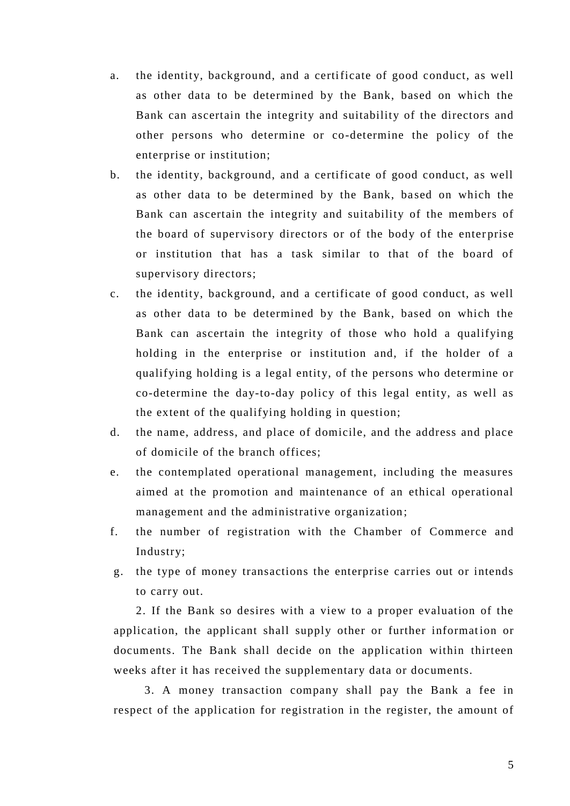- a. the identity, background, and a certificate of good conduct, as well as other data to be determined by the Bank, based on which the Bank can ascertain the integrity and suitability of the directors and other persons who determine or co-determine the policy of the enterprise or institution;
- b. the identity, background, and a certificate of good conduct, as well as other data to be determined by the Bank, ba sed on which the Bank can ascertain the integrity and suitability of the members of the board of supervisory directors or of the body of the enter prise or institution that has a task similar to that of the board of supervisory directors;
- c. the identity, background, and a certificate of good conduct, as well as other data to be determined by the Bank, based on which the Bank can ascertain the integrity of those who hold a qualifying holding in the enterprise or institution and, if the holder of a qualifying holding is a legal entity, of the persons who determine or co-determine the day-to-day policy of this legal entity, as well as the extent of the qualifying holding in question;
- d. the name, address, and place of domicile, and the address and place of domicile of the branch offices;
- e. the contemplated operational management, including the measures aimed at the promotion and maintenance of an ethical operational management and the administrative organization;
- f. the number of registration with the Chamber of Commerce and Industry;
- g. the type of money transactions the enterprise carries out or intends to carry out.

2. If the Bank so desires with a view to a proper evaluation of the application, the applicant shall supply other or further information or documents. The Bank shall decide on the application within thirteen weeks after it has received the supplementary data or documents.

3. A money transaction company shall pay the Bank a fee in respect of the application for registration in the register, the amount of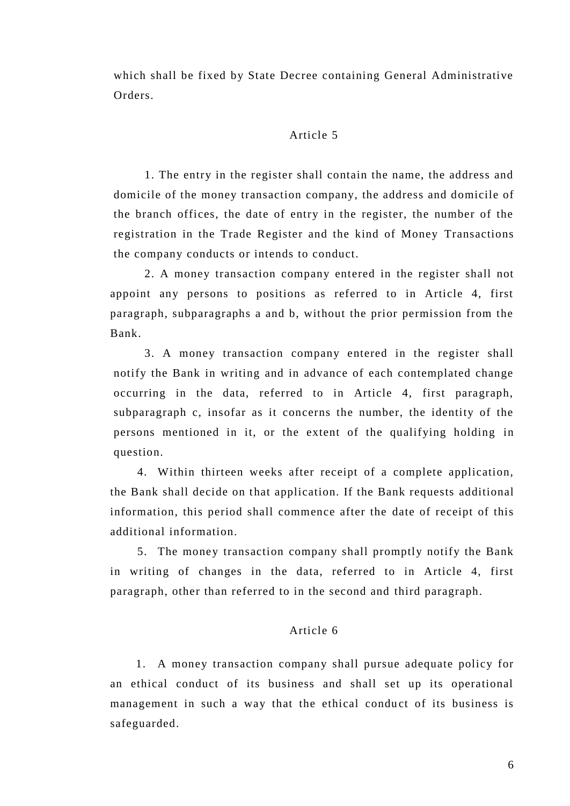which shall be fixed by State Decree containing General Administrative Orders.

#### Article 5

1. The entry in the register shall contain the name, the address and domicile of the money transaction company, the address and domicile of the branch offices, the date of entry in the register, the number of the registration in the Trade Register and the kind of Money Transactions the company conducts or intends to conduct.

2. A money transaction company entered in the register shall not appoint any persons to positions as referred to in Article 4, first paragraph, subparagraphs a and b, without the prior permission from the Bank.

3. A money transaction company entered in the register shall notify the Bank in writing and in advance of each contemplated change occurring in the data, referred to in Article 4, first paragraph, subparagraph c, insofar as it concerns the number, the identity of the persons mentioned in it, or the extent of the qualifying holding in question.

4. Within thirteen weeks after receipt of a complete application, the Bank shall decide on that application. If the Bank requests additional information, this period shall commence after the date of receipt of this additional information.

5. The money transaction company shall promptly notify the Bank in writing of changes in the data, referred to in Article 4, first paragraph, other than referred to in the second and third paragraph.

# Article 6

1. A money transaction company shall pursue adequate policy for an ethical conduct of its business and shall set up its operational management in such a way that the ethical conduct of its business is safeguarded.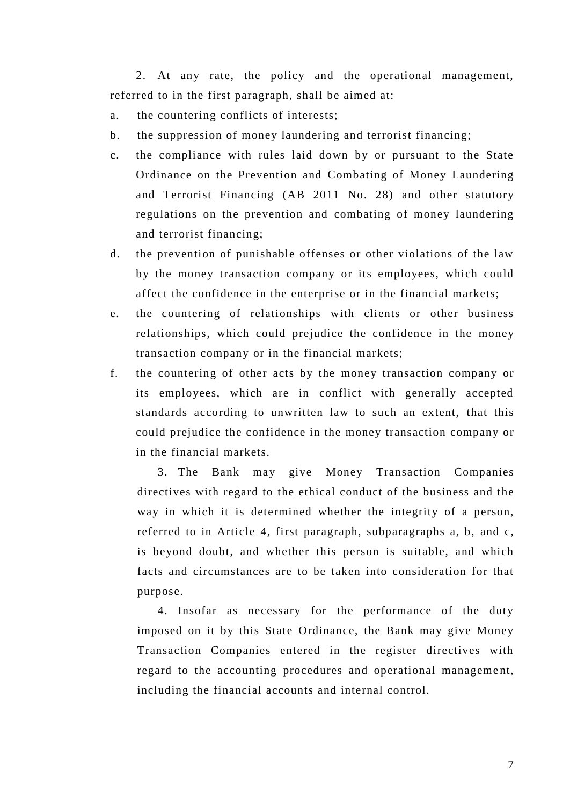2. At any rate, the policy and the operational management, referred to in the first paragraph, shall be aimed at:

- a. the countering conflicts of interests;
- b. the suppression of money laundering and terrorist financing;
- c. the compliance with rules laid down by or pursuant to the State Ordinance on the Prevention and Combating of Money Laundering and Terrorist Financing (AB 2011 No. 28) and other statutory regulations on the prevention and combating of money laundering and terrorist financing;
- d. the prevention of punishable offenses or other violations of the law by the money transaction company or its employees, which could affect the confidence in the enterprise or in the financial markets;
- e. the countering of relationships with clients or other business relationships, which could prejudice the confidence in the money transaction company or in the financial markets;
- f. the countering of other acts by the money transaction company or its employees, which are in conflict with generally accepted standards according to unwritten law to such an extent, that this could prejudice the confidence in the money transaction company or in the financial markets.

3. The Bank may give Money Transaction Companies directives with regard to the ethical conduct of the business and the way in which it is determined whether the integrity of a person, referred to in Article 4, first paragraph, subparagraphs a, b, and c, is beyond doubt, and whether this person is suitable, and which facts and circumstances are to be taken into consideration for that purpose.

4. Insofar as necessary for the performance of the duty imposed on it by this State Ordinance, the Bank may give Money Transaction Companies entered in the register directives with regard to the accounting procedures and operational manageme nt, including the financial accounts and internal control.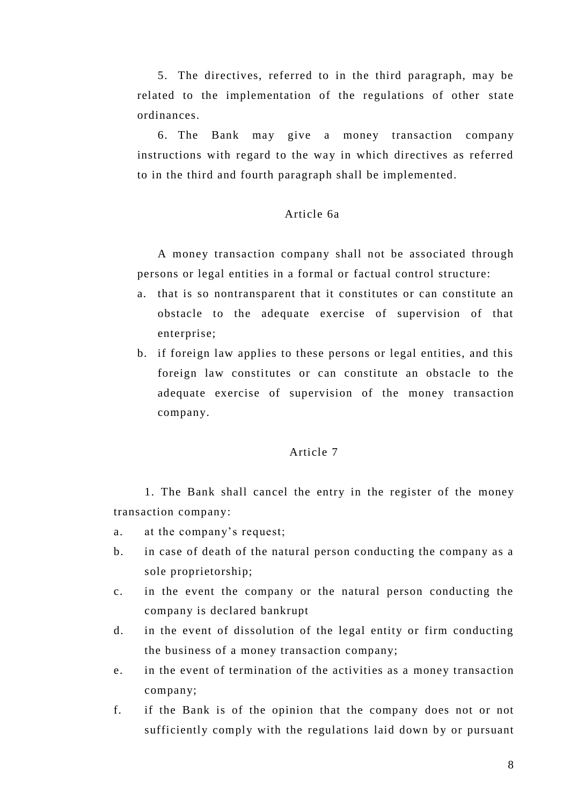5. The directives, referred to in the third paragraph, may be related to the implementation of the regulations of other state ordinances.

6. The Bank may give a money transaction company instructions with regard to the way in which directives as referred to in the third and fourth paragraph shall be implemented.

# Article 6a

A money transaction company shall not be associated through persons or legal entities in a formal or factual control structure:

- a. that is so nontransparent that it constitutes or can constitute an obstacle to the adequate exercise of supervision of that enterprise;
- b. if foreign law applies to these persons or legal entities, and this foreign law constitutes or can constitute an obstacle to the adequate exercise of supervision of the money transaction company.

#### Article 7

1. The Bank shall cancel the entry in the register of the money transaction company:

- a. at the company's request;
- b. in case of death of the natural person conducting the company as a sole proprietorship;
- c. in the event the company or the natural person conducting the company is declared bankrupt
- d. in the event of dissolution of the legal entity or firm conducting the business of a money transaction company;
- e. in the event of termination of the activities as a money transaction company;
- f. if the Bank is of the opinion that the company does not or not sufficiently comply with the regulations laid down by or pursuant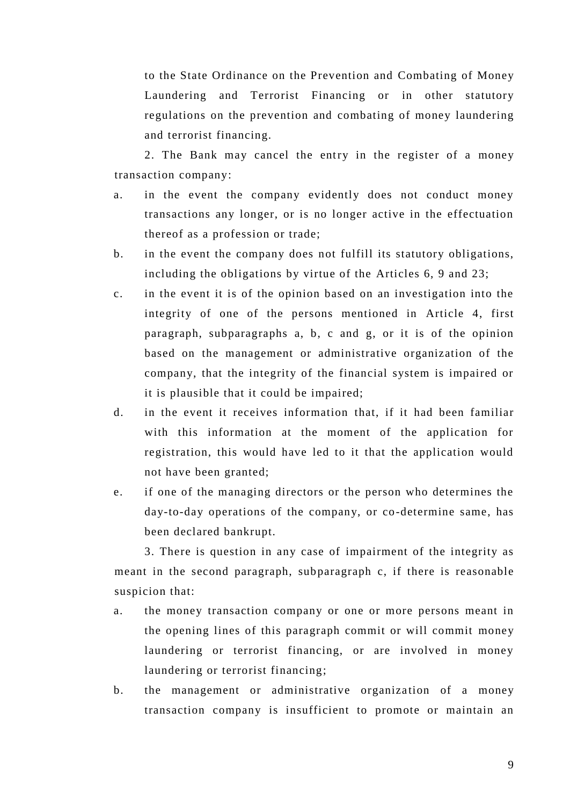to the State Ordinance on the Prevention and Combating of Money Laundering and Terrorist Financing or in other statutory regulations on the prevention and combating of money laundering and terrorist financing.

2. The Bank may cancel the entry in the register of a money transaction company:

- a. in the event the company evidently does not conduct money transactions any longer, or is no longer active in the effectuation thereof as a profession or trade;
- b. in the event the company does not fulfill its statutory obligations, including the obligations by virtue of the Articles 6, 9 and 23;
- c. in the event it is of the opinion based on an investigation into the integrity of one of the persons mentioned in Article 4, first paragraph, subparagraphs a, b, c and g, or it is of the opinion based on the management or administrative organization of the company, that the integrity of the financial system is impaired or it is plausible that it could be impaired;
- d. in the event it receives information that, if it had been familiar with this information at the moment of the application for registration, this would have led to it that the application would not have been granted;
- e. if one of the managing directors or the person who determines the day-to-day operations of the company, or co-determine same, has been declared bankrupt.

3. There is question in any case of impairment of the integrity as meant in the second paragraph, subparagraph c, if there is reasonable suspicion that:

- a. the money transaction company or one or more persons meant in the opening lines of this paragraph commit or will commit money laundering or terrorist financing, or are involved in money laundering or terrorist financing;
- b. the management or administrative organization of a money transaction company is insufficient to promote or maintain an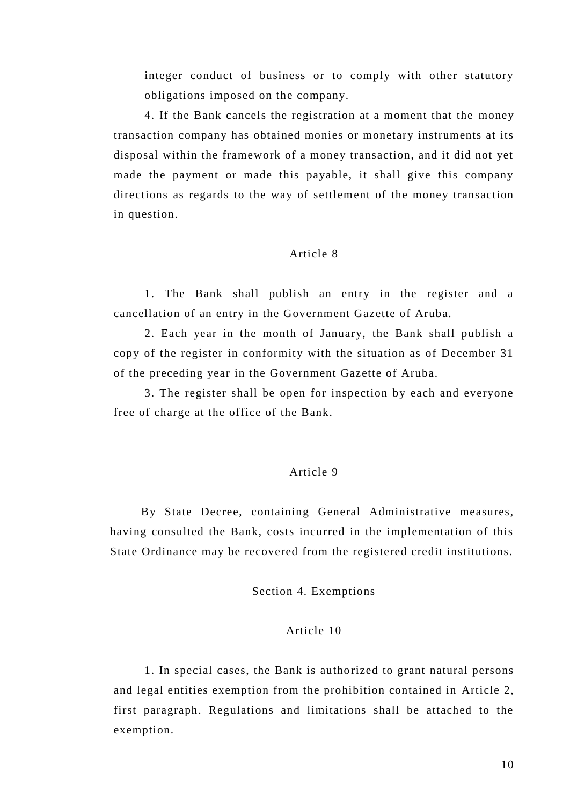integer conduct of business or to comply with other statutory obligations imposed on the company.

4. If the Bank cancels the registration at a moment that the money transaction company has obtained monies or monetary instruments at its disposal within the framework of a money transaction, and it did not yet made the payment or made this payable, it shall give this company directions as regards to the way of settlement of the money transaction in question.

#### Article 8

1. The Bank shall publish an entry in the register and a cancellation of an entry in the Government Gazette of Aruba.

2. Each year in the month of January, the Bank shall publish a copy of the register in conformity with the situation as of December 31 of the preceding year in the Government Gazette of Aruba.

3. The register shall be open for inspection by each and everyone free of charge at the office of the Bank.

#### Article 9

By State Decree, containing General Administrative measures, having consulted the Bank, costs incurred in the implementation of this State Ordinance may be recovered from the registered credit institutions.

# Section 4. Exemptions

## Article 10

1. In special cases, the Bank is authorized to grant natural persons and legal entities exemption from the prohibition contained in Article 2, first paragraph. Regulations and limitations shall be attached to the exemption.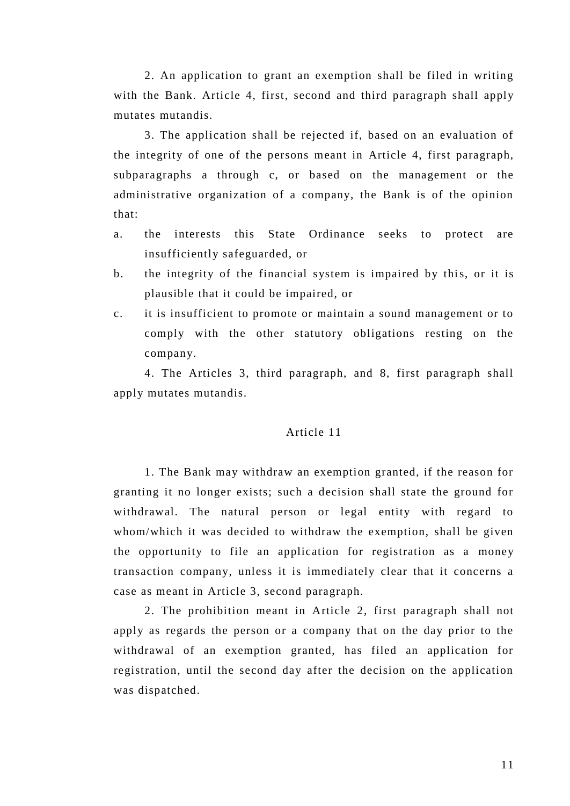2. An application to grant an exemption shall be filed in writing with the Bank. Article 4, first, second and third paragraph shall apply mutates mutandis.

3. The application shall be rejected if, based on an evaluation of the integrity of one of the persons meant in Article 4, first paragraph, subparagraphs a through c, or based on the management or the administrative organization of a company, the Bank is of the opinion that:

- a. the interests this State Ordinance seeks to protect are insufficiently safeguarded, or
- b. the integrity of the financial system is impaired by this, or it is plausible that it could be impaired, or
- c. it is insufficient to promote or maintain a sound management or to comply with the other statutory obligations resting on the company.

4. The Articles 3, third paragraph, and 8, first paragraph shall apply mutates mutandis.

#### Article 11

1. The Bank may withdraw an exemption granted, if the reason for granting it no longer exists; such a decision shall state the ground for withdrawal. The natural person or legal entity with regard to whom/which it was decided to withdraw the exemption, shall be given the opportunity to file an application for registration as a money transaction company, unless it is immediately clear that it concerns a case as meant in Article 3, second paragraph.

2. The prohibition meant in Article 2, first paragraph shall not apply as regards the person or a company that on the day prior to the withdrawal of an exemption granted, has filed an application for registration, until the second day after the decision on the application was dispatched.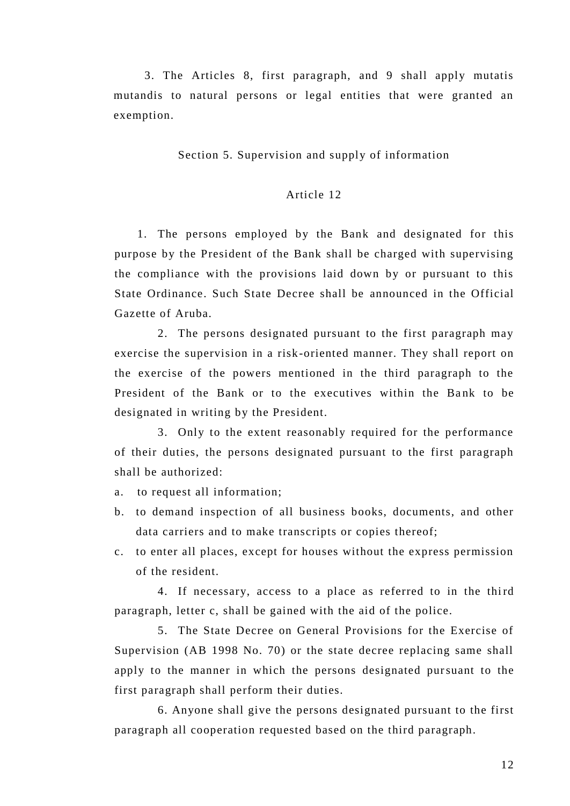3. The Articles 8, first paragraph, and 9 shall apply mutatis mutandis to natural persons or legal entities that were granted an exemption.

Section 5. Supervision and supply of information

# Article 12

1. The persons employed by the Bank and designated for this purpose by the President of the Bank shall be charged with supervising the compliance with the provisions laid down by or pursuant to this State Ordinance. Such State Decree shall be announced in the Official Gazette of Aruba.

2. The persons designated pursuant to the first paragraph may exercise the supervision in a risk -oriented manner. They shall report on the exercise of the powers mentioned in the third paragraph to the President of the Bank or to the executives within the Bank to be designated in writing by the President.

3. Only to the extent reasonably required for the performance of their duties, the persons designated pursuant to the first paragraph shall be authorized:

- a. to request all information;
- b. to demand inspection of all business books, documents, and other data carriers and to make transcripts or copies thereof;
- c. to enter all places, except for houses without the express permission of the resident.

4. If necessary, access to a place as referred to in the third paragraph, letter c, shall be gained with the aid of the police.

5. The State Decree on General Provisions for the Exercise of Supervision (AB 1998 No. 70) or the state decree replacing same shall apply to the manner in which the persons designated pursuant to the first paragraph shall perform their duties.

6. Anyone shall give the persons designated pursuant to the first paragraph all cooperation requested based on the third paragraph.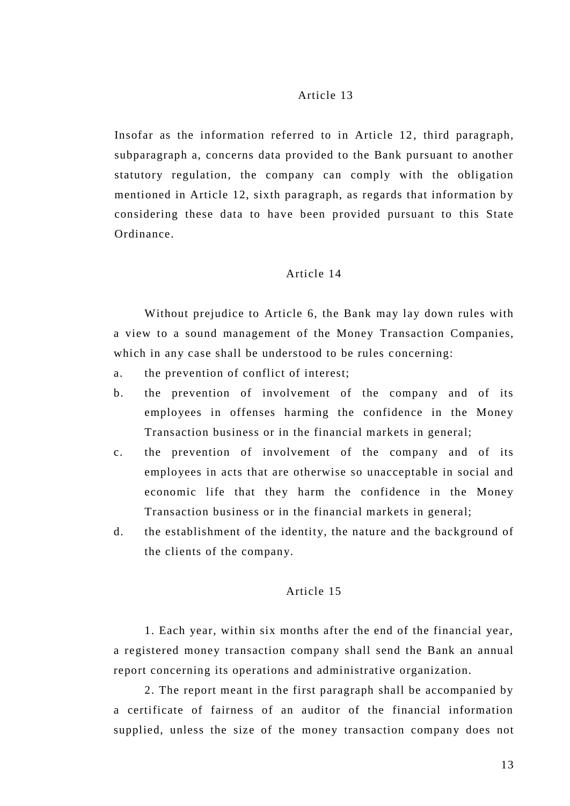# Article 13

Insofar as the information referred to in Article 12, third paragraph, subparagraph a, concerns data provided to the Bank pursuant to another statutory regulation, the company can comply with the obligation mentioned in Article 12, sixth paragraph, as regards that information by considering these data to have been provided pursuant to this State Ordinance.

# Article 14

Without prejudice to Article 6, the Bank may lay down rules with a view to a sound management of the Money Transaction Companies, which in any case shall be understood to be rules concerning:

- a. the prevention of conflict of interest;
- b. the prevention of involvement of the company and of its employees in offenses harming the confidence in the Money Transaction business or in the financial markets in general;
- c. the prevention of involvement of the company and of its employees in acts that are otherwise so unacceptable in social and economic life that they harm the confidence in the Money Transaction business or in the financial markets in general;
- d. the establishment of the identity, the nature and the background of the clients of the company.

# Article 15

1. Each year, within six months after the end of the financial year, a registered money transaction company shall send the Bank an annual report concerning its operations and administrative organization.

2. The report meant in the first paragraph shall be accompanied by a certificate of fairness of an auditor of the financial information supplied, unless the size of the money transaction company does not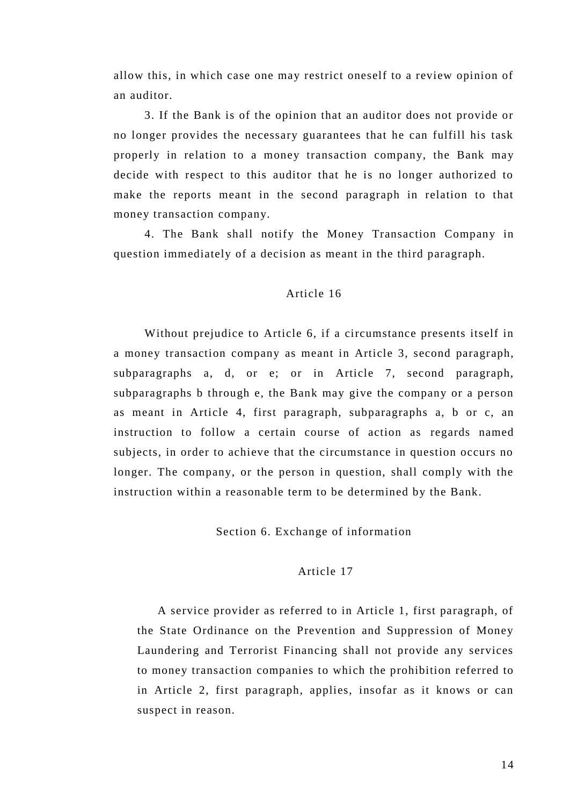allow this, in which case one may restrict oneself to a review opinion of an auditor.

3. If the Bank is of the opinion that an auditor does not provide or no longer provides the necessary guarantees that he can fulfill his task properly in relation to a money transaction company, the Bank may decide with respect to this auditor that he is no longer authorized to make the reports meant in the second paragraph in relation to that money transaction company.

4. The Bank shall notify the Money Transaction Company in question immediately of a decision as meant in the third paragraph.

#### Article 16

Without prejudice to Article 6, if a circumstance presents itself in a money transaction company as meant in Article 3, second paragraph, subparagraphs a, d, or e; or in Article 7, second paragraph, subparagraphs b through e, the Bank may give the company or a person as meant in Article 4, first paragraph, subparagraphs a, b or c, an instruction to follow a certain course of action as regards named subjects, in order to achieve that the circumstance in question occurs no longer. The company, or the person in question, shall comply with the instruction within a reasonable term to be determined by the Bank.

#### Section 6. Exchange of information

#### Article 17

A service provider as referred to in Article 1, first paragraph, of the State Ordinance on the Prevention and Suppression of Money Laundering and Terrorist Financing shall not provide any services to money transaction companies to which the prohibition referred to in Article 2, first paragraph, applies, insofar as it knows or can suspect in reason.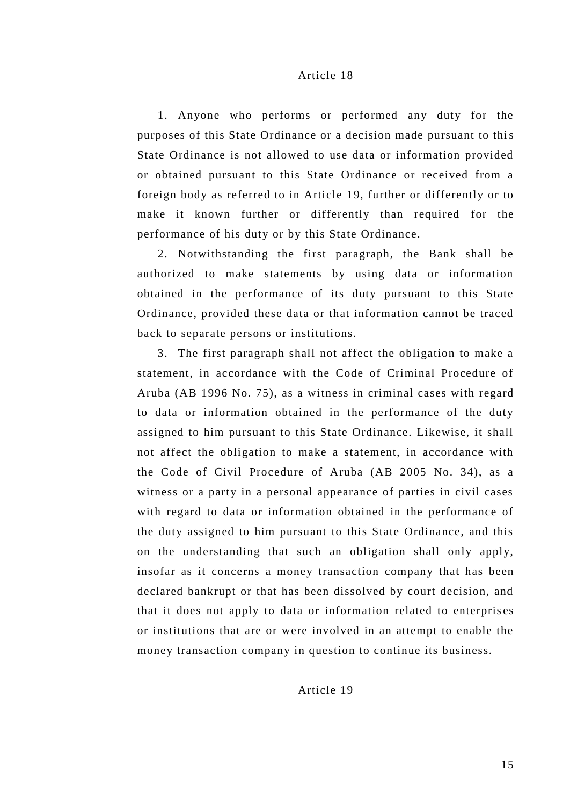#### Article 18

1. Anyone who performs or performed any duty for the purposes of this State Ordinance or a decision made pursuant to this State Ordinance is not allowed to use data or information provided or obtained pursuant to this State Ordinance or received from a foreign body as referred to in Article 19, further or differently or to make it known further or differently than required for the performance of his duty or by this State Ordinance.

2. Notwithstanding the first paragraph, the Bank shall be authorized to make statements by using data or information obtained in the performance of its duty pursuant to this State Ordinance, provided these data or that information cannot be traced back to separate persons or institutions.

3. The first paragraph shall not affect the obligation to make a statement, in accordance with the Code of Criminal Procedure of Aruba (AB 1996 No. 75), as a witness in criminal cases with regard to data or information obtained in the performance of the duty assigned to him pursuant to this State Ordinance. Likewise, it shall not affect the obligation to make a statement, in accordance with the Code of Civil Procedure of Aruba (AB 2005 No. 34), as a witness or a party in a personal appearance of parties in civil cases with regard to data or information obtained in the performance of the duty assigned to him pursuant to this State Ordinance, and this on the understanding that such an obligation shall only apply, insofar as it concerns a money transaction company that has been declared bankrupt or that has been dissolved by court decision, and that it does not apply to data or information related to enterpris es or institutions that are or were involved in an attempt to enable the money transaction company in question to continue its business.

Article 19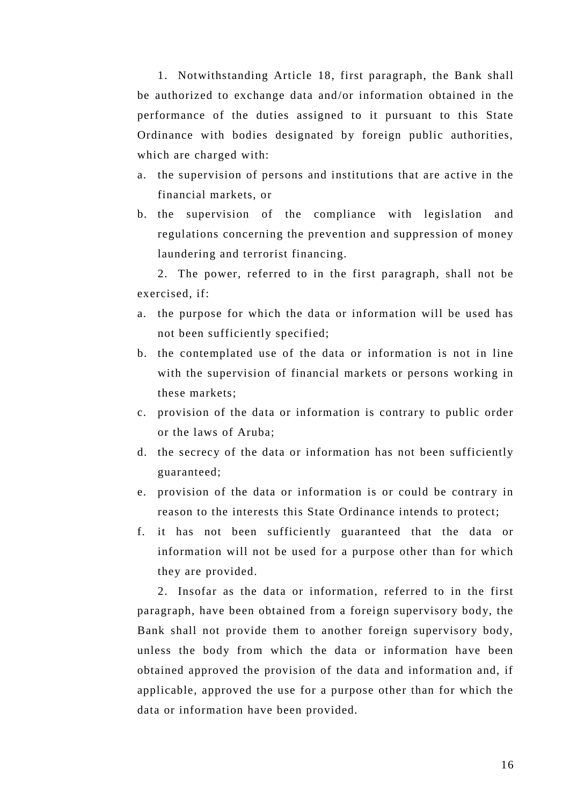1. Notwithstanding Article 18, first paragraph, the Bank shall be authorized to exchange data and/or information obtained in the performance of the duties assigned to it pursuant to this State Ordinance with bodies designated by foreign public authorities, which are charged with:

- a. the supervision of persons and institutions that are active in the financial markets, or
- b. the supervision of the compliance with legislation and regulations concerning the prevention and suppression of money laundering and terrorist financing.

2. The power, referred to in the first paragraph, shall not be exercised, if:

- a. the purpose for which the data or information will be used has not been sufficiently specified;
- b. the contemplated use of the data or information is not in line with the supervision of financial markets or persons working in these markets;
- c. provision of the data or information is contrary to public order or the laws of Aruba;
- d. the secrecy of the data or information has not been sufficiently guaranteed;
- e. provision of the data or information is or could be contrary in reason to the interests this State Ordinance intends to protect;
- f. it has not been sufficiently guaranteed that the data or information will not be used for a purpose other than for which they are provided.

2. Insofar as the data or information, referred to in the first paragraph, have been obtained from a foreign supervisory body, the Bank shall not provide them to another foreign supervisory body, unless the body from which the data or information have been obtained approved the provision of the data and information and, if applicable, approved the use for a purpose other than for which the data or information have been provided.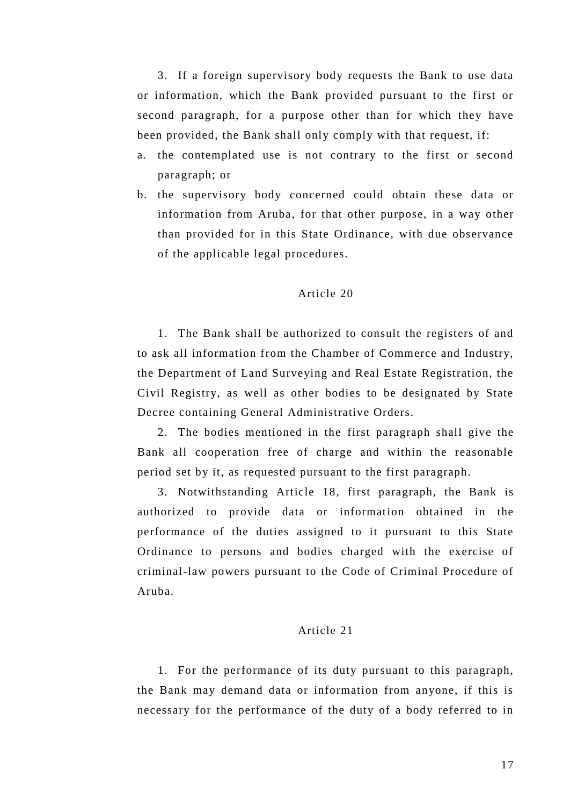3. If a foreign supervisory body requests the Bank to use data or information, which the Bank provided pursuant to the first or second paragraph, for a purpose other than for which they have been provided, the Bank shall only comply with that request, if:

- a. the contemplated use is not contrary to the first or second paragraph; or
- b. the supervisory body concerned could obtain these data or information from Aruba, for that other purpose, in a way other than provided for in this State Ordinance, with due observance of the applicable legal procedures.

#### Article 20

1. The Bank shall be authorized to consult the registers of and to ask all information from the Chamber of Commerce and Industry, the Department of Land Surveying and Real Estate Registration, the Civil Registry, as well as other bodies to be designated by State Decree containing General Administrative Orders.

2. The bodies mentioned in the first paragraph shall give the Bank all cooperation free of charge and within the reasonable period set by it, as requested pursuant to the first paragraph.

3. Notwithstanding Article 18, first paragraph, the Bank is authorized to provide data or information obtained in the performance of the duties assigned to it pursuant to this State Ordinance to persons and bodies charged with the exercise of criminal-law powers pursuant to the Code of Criminal Procedure of Aruba.

## Article 21

1. For the performance of its duty pursuant to this paragraph, the Bank may demand data or information from anyone, if this is necessary for the performance of the duty of a body referred to in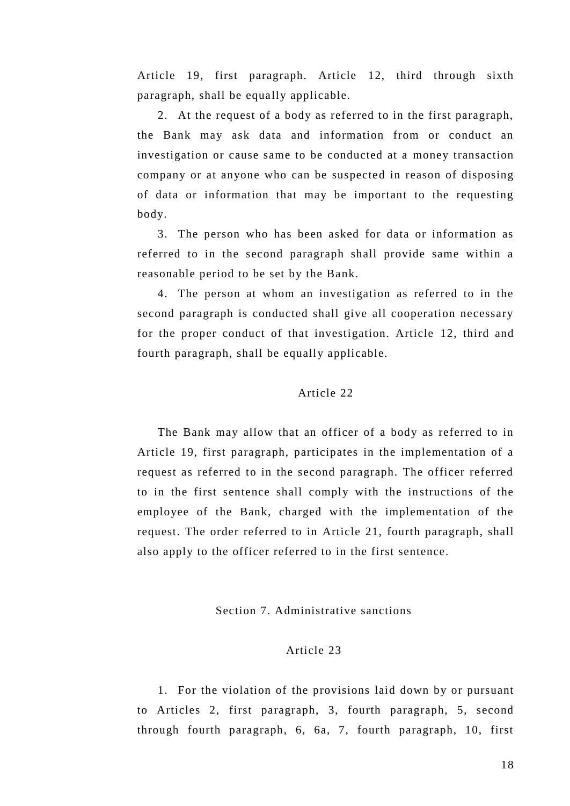Article 19, first paragraph. Article 12, third through sixth paragraph, shall be equally applicable.

2. At the request of a body as referred to in the first paragraph, the Bank may ask data and information from or conduct an investigation or cause same to be conducted at a money transaction company or at anyone who can be suspected in reason of disposing of data or information that may be important to the requesting body.

3. The person who has been asked for data or information as referred to in the second paragraph shall provide same within a reasonable period to be set by the Bank.

4. The person at whom an investigation as referred to in the second paragraph is conducted shall give all cooperation necessary for the proper conduct of that investigation. Article 12, third and fourth paragraph, shall be equally applicable.

## Article 22

The Bank may allow that an officer of a body as referred to in Article 19, first paragraph, participates in the implementation of a request as referred to in the second paragraph. The officer referred to in the first sentence shall comply with the in structions of the employee of the Bank, charged with the implementation of the request. The order referred to in Article 21, fourth paragraph, shall also apply to the officer referred to in the first sentence.

#### Section 7. Administrative sanctions

# Article 23

1. For the violation of the provisions laid down by or pursuant to Articles 2, first paragraph, 3, fourth paragraph, 5, second through fourth paragraph, 6, 6a, 7, fourth paragraph, 10, first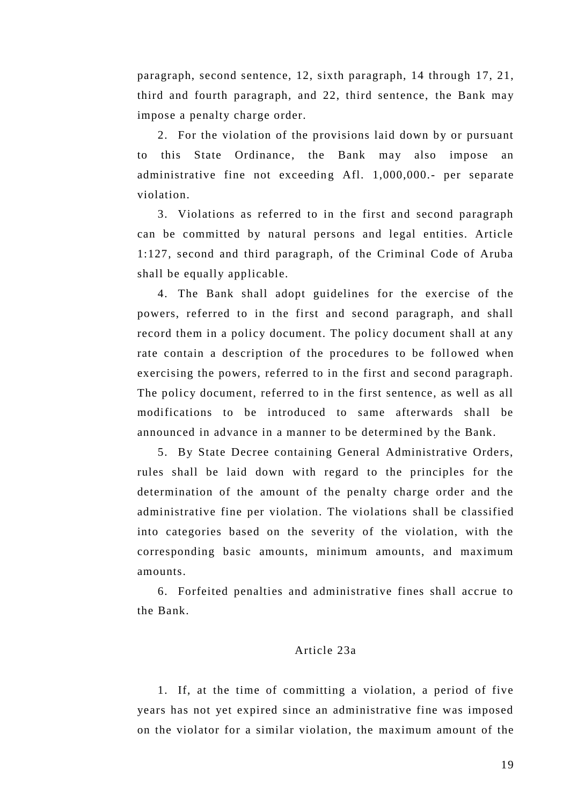paragraph, second sentence, 12, sixth paragraph, 14 through 17, 21, third and fourth paragraph, and 22, third sentence, the Bank may impose a penalty charge order.

2. For the violation of the provisions laid down by or pursuant to this State Ordinance, the Bank may also impose an administrative fine not exceeding Afl. 1,000,000.- per separate violation.

3. Violations as referred to in the first and second paragraph can be committed by natural persons and legal entities. Article 1:127, second and third paragraph, of the Criminal Code of Aruba shall be equally applicable.

4. The Bank shall adopt guidelines for the exercise of the powers, referred to in the first and second paragraph, and shall record them in a policy document. The policy document shall at any rate contain a description of the procedures to be followed when exercising the powers, referred to in the first and second paragraph. The policy document, referred to in the first sentence, as well as all modifications to be introduced to same afterwards shall be announced in advance in a manner to be determined by the Bank.

5. By State Decree containing General Administrative Orders, rules shall be laid down with regard to the principles for the determination of the amount of the penalty charge order and the administrative fine per violation. The violations shall be classified into categories based on the severity of the violation, with the corresponding basic amounts, minimum amounts, and maximum amounts.

6. Forfeited penalties and administrative fines shall accrue to the Bank.

# Article 23a

1. If, at the time of committing a violation, a period of five years has not yet expired since an administrative fine was imposed on the violator for a similar violation, the maximum amount of the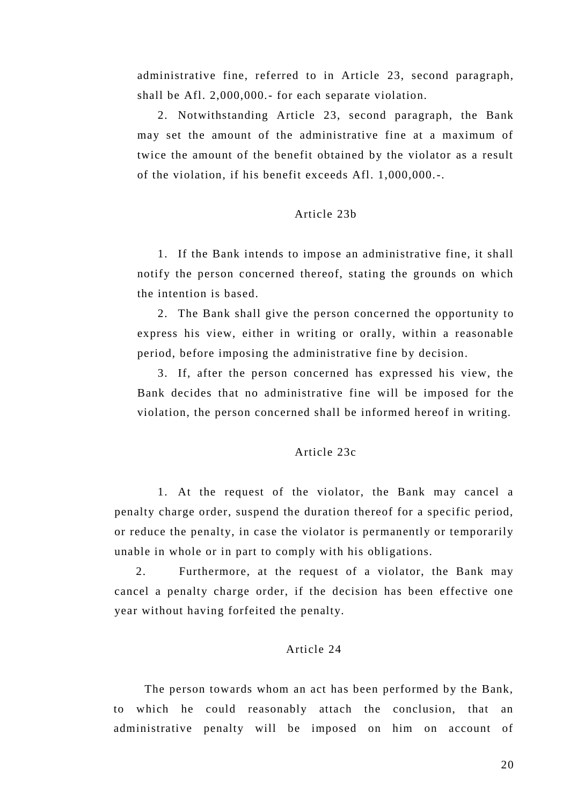administrative fine, referred to in Article 23, second paragraph, shall be Afl. 2,000,000.- for each separate violation.

2. Notwithstanding Article 23, second paragraph, the Bank may set the amount of the administrative fine at a maximum of twice the amount of the benefit obtained by the violator as a result of the violation, if his benefit exceeds Afl. 1,000,000.-.

## Article 23b

1. If the Bank intends to impose an administrative fine, it shall notify the person concerned thereof, stating the grounds on which the intention is based.

2. The Bank shall give the person concerned the opportunity to express his view, either in writing or orally, within a reasonable period, before imposing the administrative fine by decision.

3. If, after the person concerned has expressed his view, the Bank decides that no administrative fine will be imposed for the violation, the person concerned shall be informed hereof in writing.

#### Article 23c

1. At the request of the violator, the Bank may cancel a penalty charge order, suspend the duration thereof for a specific period, or reduce the penalty, in case the violator is permanently or temporarily unable in whole or in part to comply with his obligations.

2. Furthermore, at the request of a violator, the Bank may cancel a penalty charge order, if the decision has been effective one year without having forfeited the penalty.

# Article 24

The person towards whom an act has been performed by the Bank, to which he could reasonably attach the conclusion, that an administrative penalty will be imposed on him on account of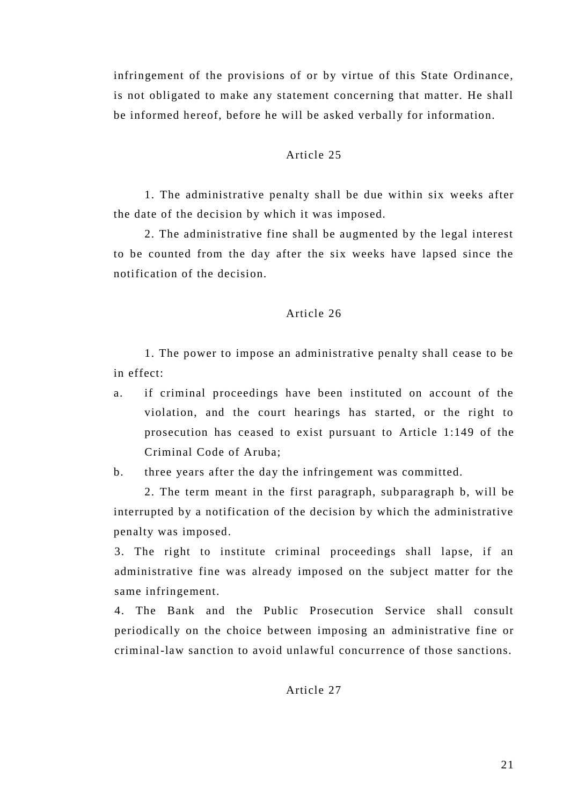infringement of the provisions of or by virtue of this State Ordinance, is not obligated to make any statement concerning that matter. He shall be informed hereof, before he will be asked verbally for information.

## Article 25

1. The administrative penalty shall be due within six weeks after the date of the decision by which it was imposed.

2. The administrative fine shall be augmented by the legal interest to be counted from the day after the six weeks have lapsed since the notification of the decision.

#### Article 26

1. The power to impose an administrative penalty shall cease to be in effect:

a. if criminal proceedings have been instituted on account of the violation, and the court hearings has started, or the right to prosecution has ceased to exist pursuant to Article 1:149 of the Criminal Code of Aruba;

b. three years after the day the infringement was committed.

2. The term meant in the first paragraph, sub paragraph b, will be interrupted by a notification of the decision by which the administrative penalty was imposed.

3. The right to institute criminal proceedings shall lapse, if an administrative fine was already imposed on the subject matter for the same infringement.

4. The Bank and the Public Prosecution Service shall consult periodically on the choice between imposing an administrative fine or criminal-law sanction to avoid unlawful concurrence of those sanctions.

# Article 27

21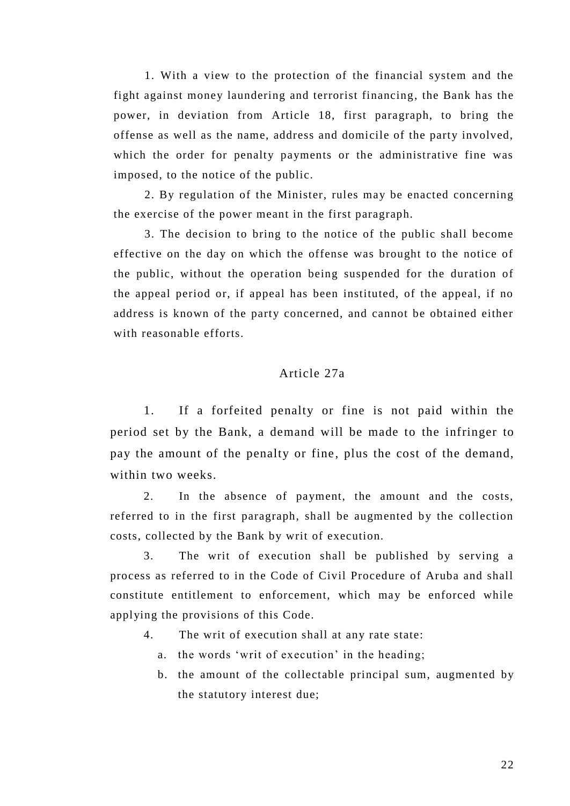1. With a view to the protection of the financial system and the fight against money laundering and terrorist financing, the Bank has the power, in deviation from Article 18, first paragraph, to bring the offense as well as the name, address and domicile of the party involved, which the order for penalty payments or the administrative fine was imposed, to the notice of the public.

2. By regulation of the Minister, rules may be enacted concerning the exercise of the power meant in the first paragraph.

3. The decision to bring to the notice of the public shall become effective on the day on which the offense was brought to the notice of the public, without the operation being suspended for the duration of the appeal period or, if appeal has been instituted, of the appeal, if no address is known of the party concerned, and cannot be obtained either with reasonable efforts.

# Article 27a

1. If a forfeited penalty or fine is not paid within the period set by the Bank, a demand will be made to the infringer to pay the amount of the penalty or fine, plus the cost of the demand, within two weeks.

2. In the absence of payment, the amount and the costs, referred to in the first paragraph, shall be augmented by the collection costs, collected by the Bank by writ of execution.

3. The writ of execution shall be published by serving a process as referred to in the Code of Civil Procedure of Aruba and shall constitute entitlement to enforcement, which may be enforced while applying the provisions of this Code.

- 4. The writ of execution shall at any rate state:
	- a. the words 'writ of execution' in the heading;
	- b. the amount of the collectable principal sum, augmented by the statutory interest due;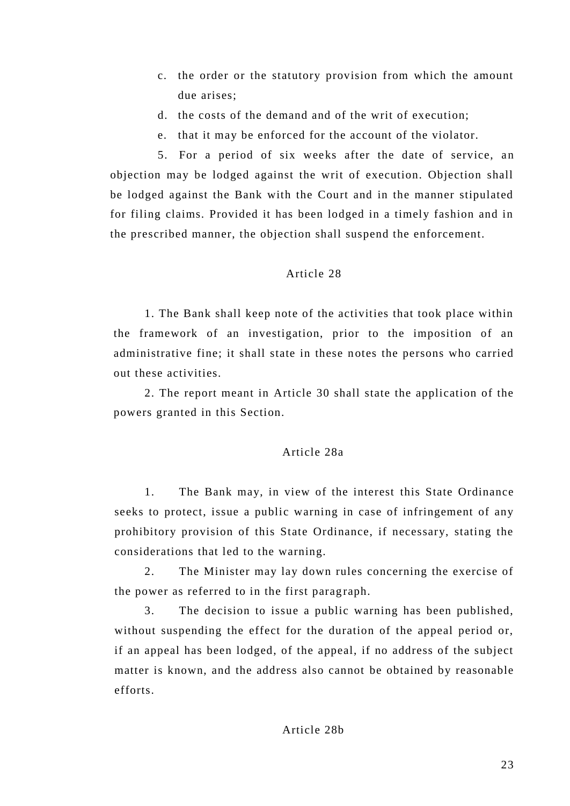- c. the order or the statutory provision from which the amount due arises;
- d. the costs of the demand and of the writ of execution;
- e. that it may be enforced for the account of the violator.

5. For a period of six weeks after the date of service, an objection may be lodged against the writ of execution. Objection shall be lodged against the Bank with the Court and in the manner stipulated for filing claims. Provided it has been lodged in a timely fashion and in the prescribed manner, the objection shall suspend the enforcement.

# Article 28

1. The Bank shall keep note of the activities that took place within the framework of an investigation, prior to the imposition of an administrative fine; it shall state in these n otes the persons who carried out these activities.

2. The report meant in Article 30 shall state the application of the powers granted in this Section.

## Article 28a

1. The Bank may, in view of the interest this State Ordinance seeks to protect, issue a public warning in case of infringement of any prohibitory provision of this State Ordinance, if necessary, stating the considerations that led to the warning.

2. The Minister may lay down rules concerning the exercise of the power as referred to in the first paragraph.

3. The decision to issue a public warning has been published, without suspending the effect for the duration of the appeal period or, if an appeal has been lodged, of the appeal, if no address of the subject matter is known, and the address also cannot be obtained by reasonable efforts.

# Article 28b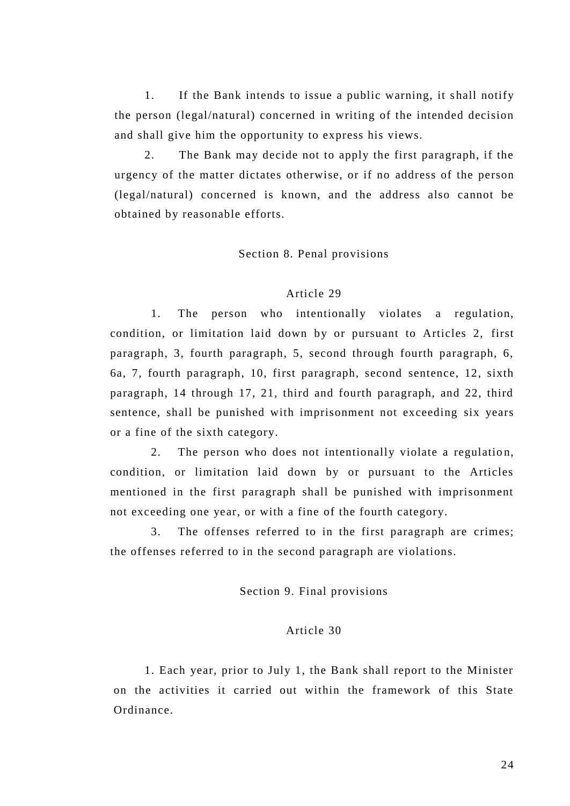1. If the Bank intends to issue a public warning, it shall notify the person (legal/natural) concerned in writing of the intended decision and shall give him the opportunity to express his views.

2. The Bank may decide not to apply the first paragraph, if the urgency of the matter dictates otherwise, or if no address of the person (legal/natural) concerned is known, and the address also cannot be obtained by reasonable efforts.

#### Section 8. Penal provisions

#### Article 29

1. The person who intentionally violates a regulation, condition, or limitation laid down by or pursuant to Articles 2, first paragraph, 3, fourth paragraph, 5, second through fourth paragraph, 6, 6a, 7, fourth paragraph, 10, first paragraph, second sentence, 12, sixth paragraph, 14 through 17, 21, third and fourth paragraph, and 22, third sentence, shall be punished with imprisonment not exceeding six years or a fine of the sixth category.

2. The person who does not intentionally violate a regulation, condition, or limitation laid down by or pursuant to the Articles mentioned in the first paragraph shall be punished with imprisonment not exceeding one year, or with a fine of the fourth category.

3. The offenses referred to in the first paragraph are crimes; the offenses referred to in the second paragraph are violations.

# Section 9. Final provisions

## Article 30

1. Each year, prior to July 1, the Bank shall report to the Minister on the activities it carried out within the framework of this State Ordinance.